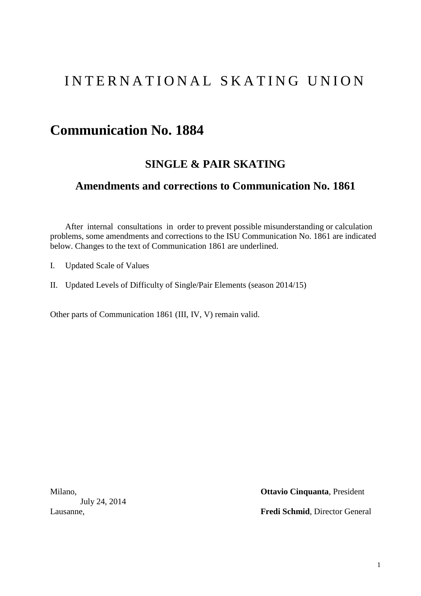# INTERNATIONAL SKATING UNION

# **Communication No. 1884**

# **SINGLE & PAIR SKATING**

# **Amendments and corrections to Communication No. 1861**

After internal consultations in order to prevent possible misunderstanding or calculation problems, some amendments and corrections to the ISU Communication No. 1861 are indicated below. Changes to the text of Communication 1861 are underlined.

- I. Updated Scale of Values
- II. Updated Levels of Difficulty of Single/Pair Elements (season 2014/15)

Other parts of Communication 1861 (III, IV, V) remain valid.

July 24, 2014

Milano, **Ottavio Cinquanta**, President

Lausanne, **Fredi Schmid**, Director General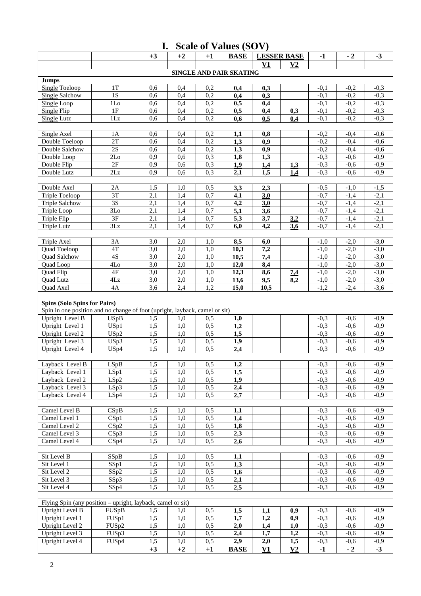| <b>Scale of Values (SOV)</b><br>I.                                          |                 |            |            |            |                         |                           |                |                  |                  |                  |
|-----------------------------------------------------------------------------|-----------------|------------|------------|------------|-------------------------|---------------------------|----------------|------------------|------------------|------------------|
|                                                                             |                 | $+3$       | $+2$       | $+1$       | <b>BASE</b>             | <b>LESSER BASE</b>        |                | $-1$             | $-2$             | $-3$             |
|                                                                             |                 |            |            |            |                         | V1                        | V <sub>2</sub> |                  |                  |                  |
|                                                                             |                 |            |            |            | SINGLE AND PAIR SKATING |                           |                |                  |                  |                  |
| <b>Jumps</b>                                                                |                 |            |            |            |                         |                           |                |                  |                  |                  |
| <b>Single Toeloop</b>                                                       | 1T              | 0,6        | 0,4        | 0,2        | 0,4                     | 0,3                       |                | $-0.1$           | $-0,2$           | $-0,3$           |
| <b>Single Salchow</b>                                                       | $\overline{1S}$ | 0,6        | 0,4        | 0,2        | 0,4                     | 0,3                       |                | $-0,1$           | $-0,2$           | $-0,3$           |
| Single Loop                                                                 | 1 <sub>LO</sub> | 0,6        | 0,4        | 0,2        | 0,5                     | 0,4                       |                | $-0,1$           | $-0,2$           | $-0,3$           |
| <b>Single Flip</b>                                                          | 1F              | 0,6        | 0,4        | 0,2        | 0,5                     | 0,4                       | 0,3            | $-0,1$           | $-0,2$           | $-0,3$           |
| <b>Single Lutz</b>                                                          | $1\mathrm{Lz}$  | 0,6        | 0,4        | 0,2        | 0,6                     | 0.5                       | 0,4            | $-0,1$           | $-0,2$           | $-0,3$           |
| <b>Single Axel</b>                                                          | 1A              | 0,6        | 0,4        | 0,2        | 1,1                     | 0,8                       |                | $-0,2$           | $-0,4$           | $-0,6$           |
| Double Toeloop                                                              | 2T              | 0,6        | 0,4        | 0,2        | 1,3                     | 0,9                       |                | $-0,2$           | $-0,4$           | $-0,6$           |
| Double Salchow                                                              | $2\mathrm{S}$   | 0,6        | 0,4        | 0,2        | 1,3                     | 0,9                       |                | $-0,2$           | $-0,4$           | $-0,6$           |
| Double Loop                                                                 | 2Lo             | 0,9        | 0,6        | 0,3        | 1,8                     | 1,3                       |                | $-0,3$           | $-0,6$           | $-0,9$           |
| Double Flip                                                                 | 2F              | 0,9        | 0,6        | 0,3        | 1,9                     | 1,4                       | 1,3            | $-0,3$           | $-0,6$           | $-0,9$           |
| Double Lutz                                                                 | 2Lz             | 0,9        | 0,6        | 0,3        | 2,1                     | 1,5                       | 1,4            | $-0,3$           | $-0.6$           | $-0,9$           |
|                                                                             |                 |            |            |            |                         |                           |                |                  |                  |                  |
| Double Axel                                                                 | 2A              | 1,5        | 1,0        | 0,5        | 3,3                     | 2,3                       |                | $-0,5$           | $-1,0$           | $-1,5$           |
| Triple Toeloop                                                              | $\overline{3T}$ | 2,1        | 1,4        | 0,7        | 4,1                     | 3.0                       |                | $-0,7$           | $-1,4$           | $-2,1$           |
| <b>Triple Salchow</b>                                                       | $\overline{3S}$ | 2,1        | 1,4        | 0,7        | 4,2                     | 3,0                       |                | $-0,7$           | $-1,4$           | $-2,1$           |
| Triple Loop                                                                 | 3Lo             | 2,1        | 1,4        | 0,7        | 5,1                     | 3,6                       |                | $-0,7$           | $-1,4$           | $-2,1$           |
| Triple Flip                                                                 | 3F              | 2,1        | 1,4        | 0,7        | 5,3                     | 3,7                       | 3.2            | $-0,7$           | $-1,4$           | $-2,1$           |
| Triple Lutz                                                                 | 3Lz             | 2,1        | 1,4        | 0,7        | 6,0                     | 4,2                       | 36             | $-0,7$           | $-1,4$           | $-2,1$           |
|                                                                             |                 |            |            |            |                         |                           |                |                  |                  |                  |
| Triple Axel                                                                 | 3A              | 3,0        | 2,0        | 1,0        | 8,5                     | 6,0                       |                | $-1,0$           | $-2,0$           | $-3,0$           |
| Quad Toeloop                                                                | 4T<br>4S        | 3,0<br>3,0 | 2,0<br>2,0 | 1,0        | 10,3                    | 7,2                       |                | $-1,0$           | $-2,0$<br>$-2,0$ | $-3,0$<br>$-3,0$ |
| Quad Salchow<br>Quad Loop                                                   | 4Lo             | 3,0        | 2,0        | 1,0<br>1,0 | 10,5<br>12,0            | 7,4<br>8,4                |                | $-1,0$<br>$-1,0$ | $-2,0$           | $-3,0$           |
| Quad Flip                                                                   | 4F              | 3,0        | 2,0        | 1,0        | 12,3                    | 8,6                       | <u>7,4</u>     | $-1,0$           | $-2,0$           | $-3,0$           |
| Quad Lutz                                                                   | 4Lz             | 3,0        | 2,0        | 1,0        | 13,6                    | 9,5                       | 8,2            | $-1,0$           | $-2,0$           | $-3,0$           |
| Quad Axel                                                                   | 4A              | 3,6        | 2,4        | 1,2        | 15,0                    | 10,5                      |                | $-1,2$           | $-2,4$           | $-3,6$           |
|                                                                             |                 |            |            |            |                         |                           |                |                  |                  |                  |
| <b>Spins (Solo Spins for Pairs)</b>                                         |                 |            |            |            |                         |                           |                |                  |                  |                  |
| Spin in one position and no change of foot (upright, layback, camel or sit) |                 |            |            |            |                         |                           |                |                  |                  |                  |
| Upright Level B                                                             | <b>USpB</b>     | 1,5        | 1,0        | 0,5        | 1,0                     |                           |                | $-0,3$           | $-0,6$           | $-0.9$           |
| Upright Level 1                                                             | USp1            | 1,5        | 1,0        | 0,5        | 1,2                     |                           |                | $-0.3$           | $-0.6$           | $-0,9$           |
| Upright Level 2                                                             | USp2            | 1,5        | 1,0        | 0,5        | 1,5                     |                           |                | $-0,3$           | $-0,6$           | $-0,9$           |
| Upright Level 3                                                             | USp3            | 1,5        | 1,0        | 0,5        | 1,9                     |                           |                | $-0,3$           | $-0,6$           | $-0,9$           |
| Upright Level 4                                                             | USp4            | 1,5        | 1,0        | 0,5        | 2,4                     |                           |                | $-0,3$           | $-0,6$           | $-0,9$           |
| Layback Level B                                                             | LSpB            | 1,5        | 1,0        | 0,5        |                         |                           |                | $-0,3$           | $-0,6$           | $-0,9$           |
| Layback Level 1                                                             | LSp1            | 1,5        | 1,0        | 0,5        | 1,2<br>1,5              |                           |                | $-0,3$           | $-0,6$           | $-0,9$           |
| Layback Level 2                                                             | LSp2            | 1,5        | 1,0        | 0,5        | 1,9                     |                           |                | $-0,3$           | $-0,6$           | $-0,9$           |
| Layback Level 3                                                             | LSp3            | 1,5        | 1,0        | 0,5        | 2,4                     |                           |                | $-0,3$           | $-0,6$           | $-0,9$           |
| Layback Level 4                                                             | LSp4            | 1,5        | 1,0        | 0,5        | 2,7                     |                           |                | $-0,3$           | $-0,6$           | $-0,9$           |
|                                                                             |                 |            |            |            |                         |                           |                |                  |                  |                  |
| Camel Level B                                                               | CSpB            | 1,5        | 1,0        | 0,5        | 1,1                     |                           |                | $-0,3$           | $-0,6$           | $-0,9$           |
| Camel Level 1                                                               | CSp1            | 1,5        | 1,0        | 0,5        | 1,4                     |                           |                | $-0,3$           | $-0,6$           | $-0,9$           |
| Camel Level 2                                                               | CSp2            | 1,5        | 1,0        | 0,5        | 1,8                     |                           |                | $-0,3$           | $-0,6$           | $-0,9$           |
| Camel Level 3                                                               | CSp3            | 1,5        | 1,0        | 0,5        | 2,3                     |                           |                | $-0,3$           | $-0,6$           | $-0,9$           |
| Camel Level 4                                                               | CSp4            | 1,5        | 1,0        | 0,5        | 2,6                     |                           |                | $-0,3$           | $-0,6$           | $-0,9$           |
|                                                                             |                 |            |            |            |                         |                           |                |                  |                  |                  |
| Sit Level B                                                                 | SSpB            | 1,5        | 1,0        | 0,5        | 1,1                     |                           |                | $-0,3$           | $-0,6$           | $-0.9$           |
| Sit Level 1                                                                 | SSp1            | 1,5        | 1,0        | 0,5        | 1,3                     |                           |                | $-0,3$           | $-0,6$           | $-0,9$           |
| Sit Level 2                                                                 | SSp2            | 1,5        | 1,0        | 0,5        | 1,6                     |                           |                | $-0,3$           | $-0,6$           | $-0,9$           |
| Sit Level 3<br>Sit Level 4                                                  | SSp3            | 1,5        | 1,0        | 0,5        | 2,1                     |                           |                | $-0,3$<br>$-0,3$ | $-0,6$           | $-0,9$<br>$-0,9$ |
|                                                                             | SSp4            | 1,5        | 1,0        | 0,5        | 2,5                     |                           |                |                  | $-0,6$           |                  |
| Flying Spin (any position – upright, layback, camel or sit)                 |                 |            |            |            |                         |                           |                |                  |                  |                  |
| Upright Level B                                                             | FUSpB           | 1,5        | 1,0        | 0,5        | 1,5                     | 1,1                       | 0,9            | $-0,3$           | $-0,6$           | $-0.9$           |
| Upright Level 1                                                             | FUSp1           | 1,5        | 1,0        | 0,5        | 1,7                     | 1,2                       | 0,9            | $-0,3$           | $-0,6$           | $-0,9$           |
| Upright Level 2                                                             | FUSp2           | 1,5        | 1,0        | 0,5        | 2,0                     | 1,4                       | 1,0            | $-0,3$           | $-0,6$           | $-0,9$           |
| Upright Level $3$                                                           | FUSp3           | 1,5        | 1,0        | 0,5        | 2,4                     | 1,7                       | 1,2            | $-0,3$           | $-0,6$           | $-0,9$           |
| Upright Level 4                                                             | FUSp4           | 1,5        | 1,0        | 0,5        | 2,9                     | 2,0                       | 1,5            | $-0,3$           | $-0,6$           | $-0,9$           |
|                                                                             |                 | $+3$       | $+2$       | $+1$       | <b>BASE</b>             | $\underline{\mathbf{V1}}$ | V <sub>2</sub> | $-1$             | $-2$             | $-3$             |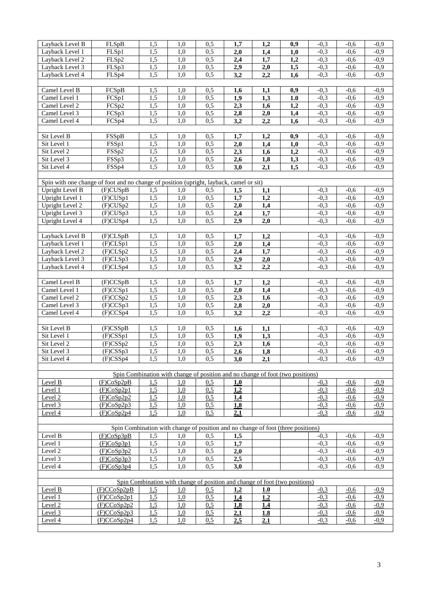| Layback Level B                                                                         | FLSpB                                                                            | 1,5              | 1,0        | 0,5 | 1,7                                                                            | 1,2              | 0,9 | $-0.3$ | $-0.6$ | $-0.9$ |
|-----------------------------------------------------------------------------------------|----------------------------------------------------------------------------------|------------------|------------|-----|--------------------------------------------------------------------------------|------------------|-----|--------|--------|--------|
| Layback Level 1                                                                         | FLSp1                                                                            | 1,5              | 1,0        | 0,5 | 2,0                                                                            | 1,4              | 1,0 | $-0,3$ | $-0.6$ | $-0,9$ |
| Layback Level 2                                                                         | FLSp2                                                                            | 1,5              | 1,0        | 0,5 | 2,4                                                                            | 1,7              | 1,2 | $-0,3$ | $-0,6$ | $-0,9$ |
| Layback Level 3                                                                         | FLSp3                                                                            | 1,5              | 1,0        | 0,5 | 2,9                                                                            | 2,0              | 1,5 | $-0,3$ | $-0,6$ | $-0,9$ |
| Layback Level 4                                                                         | FLSp4                                                                            | 1,5              | 1,0        | 0,5 | 3,2                                                                            | 2,2              | 1,6 | $-0,3$ | $-0,6$ | $-0,9$ |
|                                                                                         |                                                                                  |                  |            |     |                                                                                |                  |     |        |        |        |
| Camel Level B                                                                           | FCSpB                                                                            | 1,5              | 1,0        | 0,5 |                                                                                | 1,1              |     | $-0,3$ | $-0,6$ | $-0,9$ |
|                                                                                         |                                                                                  |                  |            |     | 1,6                                                                            |                  | 0,9 |        |        |        |
| Camel Level 1                                                                           | FCSp1                                                                            | 1,5              | 1,0        | 0,5 | 1,9                                                                            | 1,3              | 1.0 | $-0,3$ | $-0.6$ | $-0.9$ |
| Camel Level 2                                                                           | FCSp2                                                                            | 1,5              | 1,0        | 0,5 | 2,3                                                                            | 1,6              | 1,2 | $-0,3$ | $-0,6$ | $-0,9$ |
| Camel Level 3                                                                           | FCSp3                                                                            | 1,5              | 1,0        | 0,5 | 2,8                                                                            | 2,0              | 1,4 | $-0,3$ | $-0,6$ | $-0,9$ |
| Camel Level 4                                                                           | FCSp4                                                                            | 1,5              | 1,0        | 0,5 | 3,2                                                                            | 2,2              | 1,6 | $-0,3$ | $-0,6$ | $-0,9$ |
|                                                                                         |                                                                                  |                  |            |     |                                                                                |                  |     |        |        |        |
| Sit Level B                                                                             | FSSpB                                                                            | 1,5              | 1,0        | 0,5 | 1,7                                                                            | 1,2              | 0,9 | $-0,3$ | $-0.6$ | $-0,9$ |
| Sit Level 1                                                                             | FSSp1                                                                            | 1,5              | 1,0        | 0,5 | 2,0                                                                            | 1,4              | 1,0 | $-0,3$ | $-0,6$ | $-0,9$ |
| Sit Level 2                                                                             | FSSp2                                                                            | 1,5              | 1,0        | 0,5 | 2,3                                                                            | 1,6              | 1,2 | $-0,3$ | $-0,6$ | $-0,9$ |
| Sit Level 3                                                                             | FSSp3                                                                            | 1,5              | 1,0        | 0,5 | 2,6                                                                            | 1,8              | 1,3 | $-0,3$ | $-0,6$ | $-0,9$ |
| Sit Level 4                                                                             | FSSp4                                                                            | 1,5              | 1,0        | 0,5 | 3,0                                                                            | 2,1              | 1,5 | $-0,3$ | $-0.6$ | $-0,9$ |
|                                                                                         |                                                                                  |                  |            |     |                                                                                |                  |     |        |        |        |
|                                                                                         |                                                                                  |                  |            |     |                                                                                |                  |     |        |        |        |
| Spin with one change of foot and no change of position (upright, layback, camel or sit) |                                                                                  |                  |            |     |                                                                                |                  |     |        |        |        |
| Upright Level B                                                                         | (F)CUSpB                                                                         | 1,5              | 1,0        | 0,5 | 1,5                                                                            | 1,1              |     | $-0.3$ | $-0.6$ | $-0.9$ |
| Upright Level 1                                                                         | $(F)$ CUSp1                                                                      | 1,5              | 1,0        | 0,5 | 1,7                                                                            | 1,2              |     | $-0,3$ | $-0,6$ | $-0,9$ |
| Upright Level 2                                                                         | (F)CUSp2                                                                         | 1,5              | 1,0        | 0,5 | 2,0                                                                            | 1,4              |     | $-0,3$ | $-0,6$ | $-0,9$ |
| Upright Level 3                                                                         | (F)CUSp3                                                                         | 1,5              | 1,0        | 0,5 | 2,4                                                                            | 1,7              |     | $-0,3$ | $-0,6$ | $-0,9$ |
| Upright Level 4                                                                         | $(F)$ CUSp4                                                                      | 1,5              | 1,0        | 0,5 | 2,9                                                                            | 2,0              |     | $-0,3$ | $-0,6$ | $-0,9$ |
|                                                                                         |                                                                                  |                  |            |     |                                                                                |                  |     |        |        |        |
| Layback Level B                                                                         | (F)CLSpB                                                                         | 1,5              | 1,0        | 0,5 | 1,7                                                                            | 1,2              |     | $-0,3$ | $-0.6$ | $-0,9$ |
| Layback Level 1                                                                         | (F)CLSp1                                                                         | 1,5              | 1,0        | 0,5 | 2,0                                                                            | 1,4              |     | $-0,3$ | $-0,6$ | $-0,9$ |
| Layback Level 2                                                                         | (F)CLSp2                                                                         | 1,5              | 1,0        | 0,5 | 2,4                                                                            | 1,7              |     | $-0,3$ | $-0,6$ | $-0,9$ |
| Layback Level 3                                                                         | (F)CLSp3                                                                         | 1,5              | 1,0        | 0,5 | 2,9                                                                            | 2,0              |     | $-0,3$ | $-0,6$ | $-0,9$ |
| Layback Level 4                                                                         | (F)CLSp4                                                                         | 1,5              | 1,0        | 0,5 | 3,2                                                                            | 2,2              |     | $-0,3$ | $-0,6$ | $-0,9$ |
|                                                                                         |                                                                                  |                  |            |     |                                                                                |                  |     |        |        |        |
|                                                                                         |                                                                                  |                  |            |     |                                                                                |                  |     |        |        |        |
| Camel Level B                                                                           | (F)CCSpB                                                                         | 1,5              | 1,0        | 0,5 | 1,7                                                                            | 1,2              |     | $-0,3$ | $-0.6$ | $-0,9$ |
| Camel Level 1                                                                           | (F)CCSp1                                                                         | 1,5              | 1,0        | 0,5 | 2,0                                                                            | 1,4              |     | $-0,3$ | $-0,6$ | $-0,9$ |
| Camel Level 2                                                                           | (F)CCSp2                                                                         | 1,5              | 1,0        | 0,5 | 2,3                                                                            | 1,6              |     | $-0,3$ | $-0,6$ | $-0,9$ |
| Camel Level 3                                                                           | (F)CCSp3                                                                         | 1,5              | 1,0        | 0,5 | 2,8                                                                            | 2,0              |     | $-0,3$ | $-0,6$ | $-0,9$ |
| Camel Level 4                                                                           | (F)CCSp4                                                                         | $\overline{1,5}$ | 1,0        | 0,5 | 3,2                                                                            | 2,2              |     | $-0,3$ | $-0.6$ | $-0,9$ |
|                                                                                         |                                                                                  |                  |            |     |                                                                                |                  |     |        |        |        |
| Sit Level B                                                                             | $(F)$ CSSpB                                                                      | 1,5              | 1,0        | 0,5 | 1,6                                                                            | 1,1              |     | $-0.3$ | $-0.6$ | $-0,9$ |
| Sit Level 1                                                                             | $(F)$ CSSp1                                                                      | 1,5              | 1,0        | 0,5 | 1,9                                                                            | 1,3              |     | $-0,3$ | $-0,6$ | $-0,9$ |
| Sit Level 2                                                                             | (F)CSSp2                                                                         | 1,5              | 1,0        | 0,5 | 2,3                                                                            | 1,6              |     | $-0,3$ | $-0,6$ | $-0,9$ |
| Sit Level 3                                                                             | (F)CSSp3                                                                         | 1,5              | 1,0        | 0,5 | 2,6                                                                            | $\overline{1,8}$ |     | $-0,3$ | $-0,6$ | $-0,9$ |
| Sit Level 4                                                                             | $(F)$ CSSp4                                                                      | 1,5              | 1,0        | 0,5 | 3,0                                                                            | 2,1              |     | $-0,3$ | $-0,6$ | $-0,9$ |
|                                                                                         |                                                                                  |                  |            |     |                                                                                |                  |     |        |        |        |
|                                                                                         |                                                                                  |                  |            |     | Spin Combination with change of position and no change of foot (two positions) |                  |     |        |        |        |
| Level B                                                                                 | (F)CoSp2pB                                                                       |                  |            |     |                                                                                |                  |     | $-0,3$ | $-0,6$ | $-0.9$ |
| Level 1                                                                                 |                                                                                  | 1,5<br>1.5       | <u>1.0</u> | 0,5 | 1,0<br>1,2                                                                     |                  |     |        |        | $-0.9$ |
|                                                                                         | (F)CoSp2p1                                                                       |                  | 1,0        | 0,5 |                                                                                |                  |     | $-0,3$ | $-0.6$ |        |
| Level 2                                                                                 | (F)CoSp2p2                                                                       | 1,5              | 1,0        | 0,5 | 1,4                                                                            |                  |     | $-0,3$ | $-0,6$ | $-0,9$ |
| Level 3                                                                                 | (F)CoSp2p3                                                                       | 1.5              | 1.0        | 0.5 | 1,8                                                                            |                  |     | $-0.3$ | $-0,6$ | $-0,9$ |
| Level 4                                                                                 | (F)CoSp2p4                                                                       | 1,5              | 1,0        | 0,5 | 2.1                                                                            |                  |     | $-0,3$ | $-0,6$ | $-0,9$ |
|                                                                                         |                                                                                  |                  |            |     |                                                                                |                  |     |        |        |        |
|                                                                                         | Spin Combination with change of position and no change of foot (three positions) |                  |            |     |                                                                                |                  |     |        |        |        |
| Level B                                                                                 | (F)CoSp3pB                                                                       | 1,5              | 1,0        | 0,5 | 1,5                                                                            |                  |     | $-0,3$ | $-0,6$ | $-0.9$ |
| Level 1                                                                                 | (F)CoSp3p1                                                                       | 1,5              | 1,0        | 0,5 | 1,7                                                                            |                  |     | $-0,3$ | $-0.6$ | $-0,9$ |
| Level 2                                                                                 | (F)CoSp3p2                                                                       | 1,5              | 1,0        | 0,5 | 2,0                                                                            |                  |     | $-0,3$ | $-0,6$ | $-0,9$ |
| Level 3                                                                                 | (F)CoSp3p3                                                                       | 1,5              | 1,0        | 0,5 | 2,5                                                                            |                  |     | $-0,3$ | $-0,6$ | $-0,9$ |
| Level 4                                                                                 | (F)CoSp3p4                                                                       | 1,5              | 1,0        | 0,5 | 3,0                                                                            |                  |     | $-0,3$ | $-0.6$ | $-0,9$ |
|                                                                                         |                                                                                  |                  |            |     |                                                                                |                  |     |        |        |        |
|                                                                                         |                                                                                  |                  |            |     | Spin Combination with change of position and change of foot (two positions)    |                  |     |        |        |        |
| Level B                                                                                 | (F)CCoSp2pB                                                                      | 1,5              | 1,0        | 0.5 | 1.2                                                                            | 1.0              |     | $-0.3$ | $-0,6$ | $-0,9$ |
| Level 1                                                                                 | (F)CCoSp2p1                                                                      | <u>1.5</u>       | 1.0        | 0.5 |                                                                                | 1.2              |     | $-0.3$ | $-0.6$ | $-0.9$ |
|                                                                                         |                                                                                  |                  |            |     | <u>1.4</u>                                                                     |                  |     |        |        |        |
| Level 2                                                                                 | (F)CCoSp2p2                                                                      | <u>1,5</u>       | 1,0        | 0.5 | 1,8                                                                            | 1.4              |     | $-0.3$ | $-0,6$ | $-0.9$ |
| Level 3                                                                                 | (F)CCoSp2p3                                                                      | 1,5              | 1,0        | 0,5 | 2,1                                                                            | 1.8              |     | $-0,3$ | $-0,6$ | $-0.9$ |
| Level 4                                                                                 | (F)CCoSp2p4                                                                      | 1,5              | 1,0        | 0.5 | 2,5                                                                            | 2.1              |     | $-0,3$ | $-0,6$ | $-0,9$ |
|                                                                                         |                                                                                  |                  |            |     |                                                                                |                  |     |        |        |        |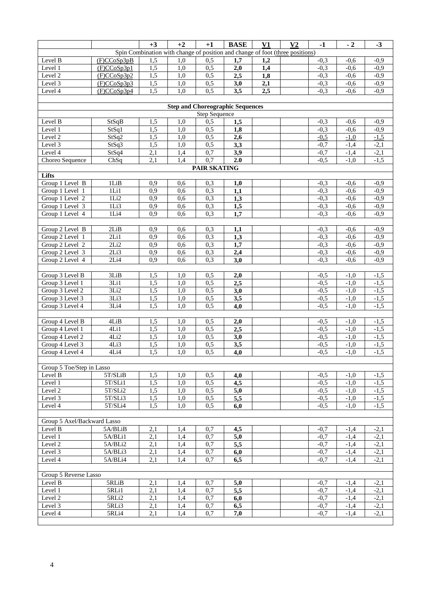|                                 |               | $+3$             | $+2$             | $+1$             | <b>BASE</b>                                                                   | V1  | V <sub>2</sub> | $-1$             | $-2$             | $-3$             |
|---------------------------------|---------------|------------------|------------------|------------------|-------------------------------------------------------------------------------|-----|----------------|------------------|------------------|------------------|
|                                 |               |                  |                  |                  | Spin Combination with change of position and change of foot (three positions) |     |                |                  |                  |                  |
| Level $\overline{B}$            | (F)CCoSp3pB   | 1,5              | 1,0              | 0,5              | 1,7                                                                           | 1,2 |                | $-0,3$           | $-0,6$           | $-0,9$           |
| Level 1                         | (F)CCoSp3p1   | 1,5              | 1,0              | 0,5              | 2,0                                                                           | 1,4 |                | $-0,3$           | $-0,6$           | $-0,9$           |
| Level 2                         | (F)CCoSp3p2   | $\overline{1,5}$ | 1,0              | 0,5              | 2,5                                                                           | 1,8 |                | $-0,3$           | $-0,6$           | $-0,9$           |
| Level 3                         | (F)CCoSp3p3   | $\overline{1,5}$ | 1,0              | 0,5              | 3,0                                                                           | 2,1 |                | $-0,3$           | $-0,6$           | $-0,9$           |
| Level 4                         | (F)CCoSp3p4   | $\overline{1,5}$ | 1,0              | 0,5              | 3,5                                                                           | 2,5 |                | $-0,3$           | $-0,6$           | $-0,9$           |
|                                 |               |                  |                  |                  |                                                                               |     |                |                  |                  |                  |
|                                 |               |                  |                  |                  | <b>Step and Choreographic Sequences</b>                                       |     |                |                  |                  |                  |
|                                 |               |                  |                  | Step Sequence    |                                                                               |     |                |                  |                  |                  |
| Level B                         | StSqB         | 1,5              | 1,0              | 0,5              | 1,5                                                                           |     |                | $-0,3$           | $-0,6$           | $-0,9$           |
| Level 1                         | StSq1         | 1,5              | 1,0              | 0,5              | 1,8                                                                           |     |                | $-0,3$           | $-0,6$           | $-0,9$           |
| Level 2                         | StSq2         | 1,5<br>1,5       | 1,0              | 0,5<br>0,5       | 2,6<br>3,3                                                                    |     |                | $-0,5$           | $-1.0$           | $-1,5$           |
| Level $\overline{3}$<br>Level 4 | StSq3         | 2,1              | 1,0<br>1,4       | 0,7              | 3,9                                                                           |     |                | $-0,7$<br>$-0,7$ | $-1,4$<br>$-1,4$ | $-2,1$<br>$-2,1$ |
| Choreo Sequence                 | StSq4<br>ChSq | $\overline{2,1}$ | 1,4              | $\overline{0,7}$ | 2.0                                                                           |     |                | $-0,5$           | $-1,0$           | $-1,5$           |
|                                 |               |                  |                  | PAIR SKATING     |                                                                               |     |                |                  |                  |                  |
| Lifts                           |               |                  |                  |                  |                                                                               |     |                |                  |                  |                  |
| Group 1 Level B                 | 1LiB          | 0,9              | 0,6              | 0,3              | 1,0                                                                           |     |                | $-0.3$           | $-0.6$           | $-0.9$           |
| Group 1 Level 1                 | $1$ Li $1$    | 0,9              | 0,6              | 0,3              | 1,1                                                                           |     |                | $-0,3$           | $-0,6$           | $-0,9$           |
| Group 1 Level 2                 | 1Li2          | 0,9              | 0,6              | 0,3              | 1,3                                                                           |     |                | $-0,3$           | $-0,6$           | $-0,9$           |
| Group 1 Level 3                 | 1Li3          | 0,9              | 0,6              | 0,3              | 1,5                                                                           |     |                | $-0,3$           | $-0,6$           | $-0,9$           |
| Group 1 Level 4                 | 1Li4          | 0,9              | 0,6              | 0,3              | 1,7                                                                           |     |                | $-0,3$           | $-0,6$           | $-0,9$           |
|                                 |               |                  |                  |                  |                                                                               |     |                |                  |                  |                  |
| Group 2 Level B                 | 2LiB          | 0,9              | 0,6              | 0,3              | 1,1                                                                           |     |                | $-0,3$           | $-0,6$           | $-0,9$           |
| Group 2 Level 1                 | 2Li1          | 0,9              | 0,6              | 0,3              | $\overline{1,3}$                                                              |     |                | $-0,3$           | $-0,6$           | $-0,9$           |
| Group 2 Level 2                 | 2Li2          | 0,9              | 0,6              | 0,3              | 1,7                                                                           |     |                | $-0,3$           | $-0,6$           | $-0,9$           |
| Group 2 Level 3                 | 2Li3          | 0,9              | 0,6              | 0,3              | 2,4                                                                           |     |                | $-0,3$           | $-0,6$           | $-0,9$           |
| Group 2 Level 4                 | 2Li4          | 0,9              | 0,6              | 0,3              | 3,0                                                                           |     |                | $-0,3$           | $-0,6$           | $-0,9$           |
|                                 |               |                  |                  |                  |                                                                               |     |                |                  |                  |                  |
| Group 3 Level B                 | 3LiB          | 1,5              | 1,0              | 0,5              | 2,0                                                                           |     |                | $-0,5$           | $-1,0$           | $-1,5$           |
| Group 3 Level 1                 | 3Li1          | 1,5              | 1,0              | 0,5              | 2,5                                                                           |     |                | $-0,5$           | $-1,0$           | $-1,5$           |
| Group 3 Level 2                 | 3Li2          | 1,5              | 1,0              | 0,5              | 3,0                                                                           |     |                | $-0,5$           | $-1,0$           | $-1,5$           |
| Group 3 Level 3                 | 3Li3          | 1,5              | 1,0              | 0, 5             | 3,5                                                                           |     |                | $-0,5$           | $-1,0$           | $-1,5$           |
| Group 3 Level 4                 | 3Li4          | 1,5              | $\overline{1,0}$ | 0,5              | 4,0                                                                           |     |                | $-0,5$           | $-1,0$           | $-1,5$           |
|                                 |               |                  |                  |                  |                                                                               |     |                |                  |                  |                  |
| Group 4 Level B                 | 4LiB          | 1,5              | 1,0              | 0,5              | 2,0                                                                           |     |                | $-0,5$           | $-1,0$           | $-1,5$           |
| Group 4 Level 1                 | 4Li1          | 1,5              | 1,0              | 0,5              | 2,5                                                                           |     |                | $-0,5$           | $-1,0$           | $-1,5$           |
| Group 4 Level 2                 | 4Li2          | $\overline{1,5}$ | 1,0              | 0,5              | 3,0                                                                           |     |                | $-0,5$           | $-1,0$           | $-1,5$           |
| Group 4 Level 3                 | 4Li3          | $\overline{1,5}$ | 1,0              | 0,5              | 3,5                                                                           |     |                | $-0,5$           | $-1,0$           | $-1,5$           |
| Group 4 Level 4                 | 4Li4          | $\overline{1,5}$ | 1,0              | 0,5              | 4,0                                                                           |     |                | $-0,5$           | $-1,0$           | $-1,5$           |
|                                 |               |                  |                  |                  |                                                                               |     |                |                  |                  |                  |
| Group 5 Toe/Step in Lasso       |               |                  |                  |                  |                                                                               |     |                |                  |                  |                  |
| Level B                         | 5T/SLiB       | 1,5              | 1,0              | 0,5              | 4,0                                                                           |     |                | $-0,5$           | $-1,0$           | $-1,5$           |
| Level 1                         | $5T/SLi1$     | 1,5              | 1,0              | 0,5              | 4,5                                                                           |     |                | $-0,5$           | $-1,0$           | $-1,5$           |
| Level 2                         | 5T/SLi2       | 1,5              | 1,0              | 0,5              | 5,0                                                                           |     |                | $-0,5$           | $-1,0$           | $-1,5$           |
| Level 3                         | 5T/SLi3       | 1,5              | 1,0              | 0,5              | $\overline{5,5}$                                                              |     |                | $-0,5$           | $-1,0$           | $-1,5$           |
| Level 4                         | 5T/SLi4       | 1,5              | 1,0              | 0,5              | 6,0                                                                           |     |                | $-0,5$           | $-1,0$           | $-1,5$           |
| Group 5 Axel/Backward Lasso     |               |                  |                  |                  |                                                                               |     |                |                  |                  |                  |
| Level B                         | 5A/BLiB       | 2,1              | 1,4              | 0,7              | 4,5                                                                           |     |                | $-0,7$           | $-1,4$           | $-2,1$           |
| Level 1                         | 5A/BLi1       | $\overline{2,1}$ | 1,4              | 0,7              | 5,0                                                                           |     |                | $-0,7$           | $-1,4$           | $-2,1$           |
| Level 2                         | 5A/BLi2       | 2,1              | 1,4              | 0,7              | 5,5                                                                           |     |                | $-0,7$           | $-1,4$           | $-2,1$           |
| Level 3                         | 5A/BLi3       | 2,1              | 1,4              | 0,7              | 6,0                                                                           |     |                | $-0,7$           | $-1,4$           | $-2,1$           |
| Level 4                         | 5A/BLi4       | 2,1              | 1,4              | 0,7              | 6,5                                                                           |     |                | $-0,7$           | $-1,4$           | $-2,1$           |
|                                 |               |                  |                  |                  |                                                                               |     |                |                  |                  |                  |
| Group 5 Reverse Lasso           |               |                  |                  |                  |                                                                               |     |                |                  |                  |                  |
| Level B                         | 5RLiB         | 2,1              | 1,4              | 0,7              | 5,0                                                                           |     |                | $-0,7$           | $-1,4$           | $-2,1$           |
| Level 1                         | 5RLi1         | 2,1              | 1,4              | 0,7              | 5,5                                                                           |     |                | $-0,7$           | $-1,4$           | $-2,1$           |
| Level 2                         | 5RLi2         | 2,1              | 1,4              | 0,7              | 6,0                                                                           |     |                | $-0,7$           | $-1,4$           | $-2,1$           |
| Level 3                         | 5RLi3         | 2,1              | 1,4              | 0,7              | 6,5                                                                           |     |                | $-0,7$           | $-1,4$           | $-2,1$           |
| Level $\overline{4}$            | 5RLi4         | 2,1              | 1,4              | 0,7              | 7,0                                                                           |     |                | $-0,7$           | $-1,4$           | $-2,1$           |
|                                 |               |                  |                  |                  |                                                                               |     |                |                  |                  |                  |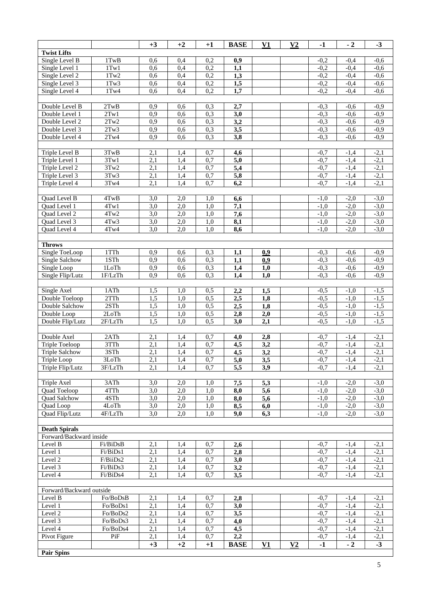|                                  |              | $+3$             | $+2$             | $+1$       | <b>BASE</b>      | V1               | V <sub>2</sub> | $-1$             | $-2$             | $-3$             |
|----------------------------------|--------------|------------------|------------------|------------|------------------|------------------|----------------|------------------|------------------|------------------|
| <b>Twist Lifts</b>               |              |                  |                  |            |                  |                  |                |                  |                  |                  |
| Single Level B                   | 1TwB         | 0,6              | 0,4              | 0,2        | 0,9              |                  |                | $-0,2$           | $-0.4$           | $-0.6$           |
| Single Level 1                   | $1$ Tw $1$   | 0,6              | 0,4              | 0,2        | 1,1              |                  |                | $-0,2$           | $-0,4$           | $-0,6$           |
| Single Level 2                   | $1$ Tw $2$   | 0,6              | 0,4              | 0,2        | 1,3              |                  |                | $-0,2$           | $-0,4$           | $-0,6$           |
| Single Level 3                   | $1$ Tw $3$   | 0,6              | 0,4              | 0,2        | 1,5              |                  |                | $-0,2$           | $-0,4$           | $-0,6$           |
| Single Level 4                   | $1$ Tw4      | 0,6              | 0,4              | 0,2        | 1,7              |                  |                | $-0,2$           | $-0,4$           | $-0,6$           |
|                                  |              |                  |                  |            |                  |                  |                |                  |                  |                  |
| Double Level B                   | 2TwB         | 0,9              | 0,6              | 0,3        | 2,7              |                  |                | $-0,3$           | $-0,6$           | $-0,9$           |
| Double Level 1                   | 2Tw1         | 0,9              | 0.6              | 0,3        | 3,0              |                  |                | $-0,3$           | $-0,6$           | $-0,9$           |
| Double Level 2                   | 2Tw2         | 0,9              | 0,6              | 0,3        | 3,2              |                  |                | $-0,3$           | $-0,6$           | $-0,9$           |
| Double Level 3                   | 2Tw3         | 0,9              | 0,6              | 0,3        | 3,5              |                  |                | $-0,3$           | $-0,6$           | $-0,9$           |
| Double Level 4                   | 2Tw4         | 0,9              | 0,6              | 0,3        | 3,8              |                  |                | $-0,3$           | $-0,6$           | $-0,9$           |
|                                  |              |                  |                  |            |                  |                  |                |                  |                  |                  |
| Triple Level B                   | 3TwB<br>3Tw1 | 2,1<br>2,1       | 1,4<br>1,4       | 0,7<br>0,7 | 4,6              |                  |                | $-0,7$<br>$-0,7$ | $-1,4$           | $-2,1$<br>$-2,1$ |
| Triple Level 1                   | 3Tw2         |                  |                  |            | $\overline{5,0}$ |                  |                |                  | $-1,4$           |                  |
| Triple Level 2<br>Triple Level 3 | 3Tw3         | 2,1<br>2,1       | 1,4<br>1,4       | 0,7<br>0,7 | 5,4              |                  |                | $-0,7$<br>$-0,7$ | $-1,4$<br>$-1,4$ | $-2,1$<br>$-2,1$ |
| Triple Level 4                   | 3Tw4         | 2,1              | 1,4              | 0,7        | 5,8<br>6,2       |                  |                | $-0,7$           | $-1,4$           |                  |
|                                  |              |                  |                  |            |                  |                  |                |                  |                  | $-2,1$           |
| Quad Level B                     | 4TwB         | 3,0              | 2,0              | 1,0        | 6,6              |                  |                | $-1,0$           | $-2,0$           | $-3,0$           |
| Quad Level 1                     | 4Tw1         | $\overline{3,0}$ | $\overline{2,0}$ | 1,0        | $\overline{7,1}$ |                  |                | $-1,0$           | $-2,0$           | $-3,0$           |
| <b>Ouad Level 2</b>              | 4Tw2         | 3,0              | 2,0              | 1,0        | 7,6              |                  |                | $-1,0$           | $-2,0$           | $-3,0$           |
| Quad Level 3                     | 4Tw3         | 3,0              | 2,0              | 1,0        | 8,1              |                  |                | $-1,0$           | $-2,0$           | $-3,0$           |
| Quad Level 4                     | 4Tw4         | 3,0              | 2,0              | 1,0        | 8,6              |                  |                | $-1,0$           | $-2,0$           | $-3,0$           |
|                                  |              |                  |                  |            |                  |                  |                |                  |                  |                  |
| <b>Throws</b>                    |              |                  |                  |            |                  |                  |                |                  |                  |                  |
| Single ToeLoop                   | 1TTh         | 0,9              | 0,6              | 0,3        | 1,1              | 0,9              |                | $-0,3$           | $-0,6$           | $-0,9$           |
| <b>Single Salchow</b>            | 1STh         | 0,9              | 0,6              | 0,3        | 1,1              | 0,9              |                | $-0,3$           | $-0,6$           | $-0,9$           |
| Single Loop                      | 1LoTh        | 0,9              | 0,6              | 0,3        | 1,4              | 1,0              |                | $-0,3$           | $-0,6$           | $-0,9$           |
| Single Flip/Lutz                 | 1F/LzTh      | 0,9              | 0,6              | 0,3        | 1,4              | 1,0              |                | $-0,3$           | $-0,6$           | $-0,9$           |
|                                  |              |                  |                  |            |                  |                  |                |                  |                  |                  |
| Single Axel                      | 1ATh         | 1,5              | 1,0              | 0,5        | 2,2              | 1,5              |                | $-0,5$           | $-1,0$           | $-1,5$           |
| Double Toeloop                   | 2TTh         | 1,5              | 1,0              | 0,5        | 2,5              | 1,8              |                | $-0,5$           | $-1,0$           | $-1,5$           |
| Double Salchow                   | 2STh         | 1,5              | 1,0              | 0,5        | 2,5              | 1,8              |                | $-0,5$           | $-1,0$           | $-1,5$           |
| Double Loop                      | 2LoTh        | 1,5              | 1,0              | 0,5        | 2,8              | 2,0              |                | $-0,5$           | $-1,0$           | $-1,5$           |
| Double Flip/Lutz                 | 2F/LzTh      | 1,5              | $\overline{1,0}$ | 0,5        | 3,0              | 2,1              |                | $-0.5$           | $-1,0$           | $-1,5$           |
|                                  |              |                  |                  |            |                  |                  |                |                  |                  |                  |
| Double Axel                      | 2ATh         | 2,1              | 1,4              | 0,7        | 4,0              | 2,8              |                | $-0,7$           | $-1,4$           | $-2,1$           |
| Triple Toeloop                   | 3TTh         | 2,1              | 1,4              | 0,7        | 4,5              | 3,2              |                | $-0,7$           | $-1,4$           | $-2,1$           |
| <b>Triple Salchow</b>            | 3STh         | $\overline{2,1}$ | 1,4              | 0,7        | $\overline{4,5}$ | $\overline{3,2}$ |                | $-0,7$           | $-1,4$           | $-2,1$           |
| Triple Loop                      | 3LoTh        | 2,1              | 1,4              | 0,7        | 5,0              | 3,5              |                | $-0,7$           | $-1,4$           | $-2,1$           |
| Triple Flip/Lutz                 | 3F/LzTh      | 2,1              | 1,4              | 0,7        | 5,5              | 3,9              |                | $-0,7$           | $-1,4$           | $-2,1$           |
|                                  |              |                  |                  |            |                  |                  |                |                  |                  |                  |
| Triple Axel                      | 3ATh         | 3,0              | 2,0              | 1,0        | 7,5              | 5,3              |                | $-1,0$           | $-2,0$           | $-3,0$           |
| Quad Toeloop                     | 4TTh<br>4STh | 3,0<br>3,0       | 2,0              | 1,0<br>1,0 | 8,0<br>8,0       | 5,6              |                | $-1,0$           | $-2,0$           | $-3,0$<br>$-3,0$ |
| Quad Salchow<br>Quad Loop        | 4LoTh        | 3,0              | 2,0<br>2,0       | 1,0        | 8,5              | 5,6<br>6,0       |                | $-1,0$<br>$-1,0$ | $-2,0$<br>$-2,0$ | $-3,0$           |
| Quad Flip/Lutz                   | 4F/LzTh      | 3,0              | 2,0              | 1,0        | 9,0              | 6,3              |                | $-1,0$           | $-2,0$           | $-3,0$           |
|                                  |              |                  |                  |            |                  |                  |                |                  |                  |                  |
| <b>Death Spirals</b>             |              |                  |                  |            |                  |                  |                |                  |                  |                  |
| Forward/Backward inside          |              |                  |                  |            |                  |                  |                |                  |                  |                  |
| Level B                          | Fi/BiDsB     | 2,1              | 1,4              | 0,7        | 2,6              |                  |                | $-0,7$           | $-1,4$           | $-2,1$           |
| Level 1                          | Fi/BiDs1     | 2,1              | 1,4              | 0,7        | 2,8              |                  |                | $-0,7$           | $-1,4$           | $-2,1$           |
| Level 2                          | F/BiiDs2     | 2,1              | 1,4              | 0,7        | 3,0              |                  |                | $-0,7$           | $-1,4$           | $-2,1$           |
| Level 3                          | Fi/BiDs3     | $\overline{2,1}$ | 1,4              | 0,7        | 3,2              |                  |                | $-0,7$           | $-1,4$           | $-2,1$           |
| Level $\overline{4}$             | Fi/BiDs4     | 2,1              | 1,4              | 0,7        | 3,5              |                  |                | $-0.7$           | $-1,4$           | $-2,1$           |
|                                  |              |                  |                  |            |                  |                  |                |                  |                  |                  |
| Forward/Backward outside         |              |                  |                  |            |                  |                  |                |                  |                  |                  |
| Level B                          | Fo/BoDsB     | 2,1              | 1,4              | 0,7        | 2,8              |                  |                | $-0,7$           | $-1,4$           | $-2,1$           |
| Level 1                          | Fo/BoDs1     | 2,1              | 1,4              | 0,7        | 3,0              |                  |                | $-0.7$           | $-1,4$           | $-2,1$           |
| Level 2                          | Fo/BoDs2     | 2,1              | 1,4              | 0,7        | 3,5              |                  |                | $-0,7$           | $-1,4$           | $-2,1$           |
| Level 3                          | Fo/BoDs3     | 2,1              | 1,4              | 0,7        | 4,0              |                  |                | $-0,7$           | $-1,4$           | $-2,1$           |
| Level 4                          | Fo/BoDs4     | 2,1              | 1,4              | 0,7        | 4,5              |                  |                | $-0,7$           | $-1,4$           | $-2,1$           |
| Pivot Figure                     | PiF          | 2,1              | 1,4              | 0,7        | 2,2              |                  |                | $-0,7$           | $-1,4$           | $-2,1$           |
|                                  |              | $+3$             | $+2$             | $+1$       | <b>BASE</b>      | V1               | V <sub>2</sub> | $-1$             | $-2$             | $-3$             |
| <b>Pair Spins</b>                |              |                  |                  |            |                  |                  |                |                  |                  |                  |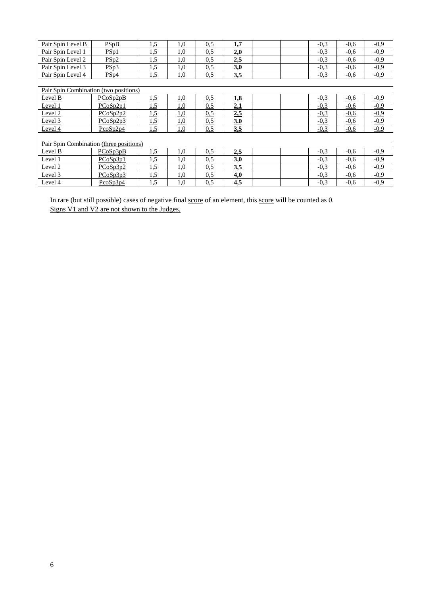| Pair Spin Level B                       | PSpB             | 1,5 | 1,0        | 0,5 | 1,7 |  | $-0.3$ | $-0.6$ | $-0.9$ |
|-----------------------------------------|------------------|-----|------------|-----|-----|--|--------|--------|--------|
| Pair Spin Level 1                       | PSp1             | 1,5 | 1,0        | 0,5 | 2,0 |  | $-0.3$ | $-0.6$ | $-0,9$ |
| Pair Spin Level 2                       | PS <sub>p2</sub> | 1,5 | 1,0        | 0,5 | 2,5 |  | $-0.3$ | $-0.6$ | $-0,9$ |
| Pair Spin Level 3                       | PSp3             | 1,5 | 1,0        | 0.5 | 3,0 |  | $-0.3$ | $-0.6$ | $-0.9$ |
| Pair Spin Level 4                       | PS <sub>p4</sub> | 1,5 | 1,0        | 0,5 | 3,5 |  | $-0.3$ | $-0.6$ | $-0,9$ |
|                                         |                  |     |            |     |     |  |        |        |        |
| Pair Spin Combination (two positions)   |                  |     |            |     |     |  |        |        |        |
| Level B                                 | PCoSp2pB         | 1,5 | 1,0        | 0.5 | 1.8 |  | $-0.3$ | $-0,6$ | $-0,9$ |
| Level 1                                 | PCoSp2p1         | 1,5 | <u>1,0</u> | 0.5 | 2,1 |  | $-0,3$ | $-0,6$ | $-0,9$ |
| Level 2                                 | PCoSp2p2         | 1,5 | 1,0        | 0,5 | 2,5 |  | $-0,3$ | $-0,6$ | $-0,9$ |
| Level 3                                 | PCoSp2p3         | 1,5 | <u>1,0</u> | 0,5 | 3.0 |  | $-0,3$ | $-0,6$ | $-0.9$ |
| Level 4                                 | $P\cos p2p4$     | 1,5 | 1,0        | 0,5 | 3,5 |  | $-0,3$ | $-0,6$ | $-0.9$ |
|                                         |                  |     |            |     |     |  |        |        |        |
| Pair Spin Combination (three positions) |                  |     |            |     |     |  |        |        |        |
| Level B                                 | PCoSp3pB         | 1,5 | 1,0        | 0,5 | 2,5 |  | $-0.3$ | $-0.6$ | $-0.9$ |
| Level 1                                 | PCoSp3p1         | 1,5 | 1,0        | 0,5 | 3,0 |  | $-0.3$ | $-0.6$ | $-0,9$ |
| Level 2                                 | PCoSp3p2         | 1,5 | 1,0        | 0,5 | 3,5 |  | $-0.3$ | $-0.6$ | $-0,9$ |
| Level 3                                 | PCoSp3p3         | 1,5 | 1,0        | 0,5 | 4,0 |  | $-0.3$ | $-0.6$ | $-0,9$ |
| Level 4                                 | $P\cos p3p4$     | 1,5 | 1,0        | 0.5 | 4,5 |  | $-0.3$ | $-0.6$ | $-0.9$ |

In rare (but still possible) cases of negative final score of an element, this score will be counted as 0. Signs V1 and V2 are not shown to the Judges.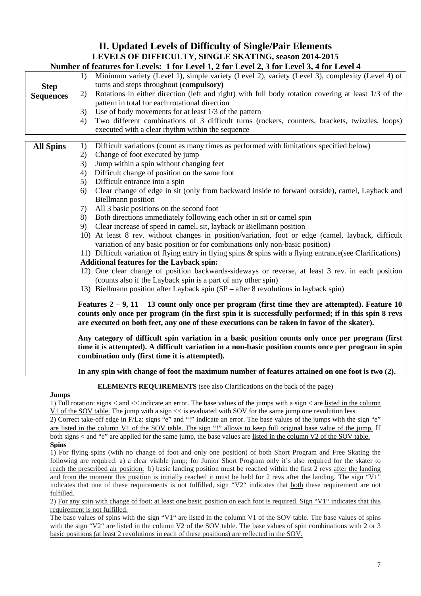# **II. Updated Levels of Difficulty of Single/Pair Elements LEVELS OF DIFFICULTY, SINGLE SKATING, season 2014-2015**

|                  | Number of features for Levels: 1 for Level 1, 2 for Level 2, 3 for Level 3, 4 for Level 4                                                                                                                                                                                                                    |
|------------------|--------------------------------------------------------------------------------------------------------------------------------------------------------------------------------------------------------------------------------------------------------------------------------------------------------------|
|                  | Minimum variety (Level 1), simple variety (Level 2), variety (Level 3), complexity (Level 4) of<br>1)                                                                                                                                                                                                        |
| <b>Step</b>      | turns and steps throughout (compulsory)                                                                                                                                                                                                                                                                      |
| <b>Sequences</b> | Rotations in either direction (left and right) with full body rotation covering at least 1/3 of the<br>2)                                                                                                                                                                                                    |
|                  | pattern in total for each rotational direction                                                                                                                                                                                                                                                               |
|                  | Use of body movements for at least 1/3 of the pattern<br>3)                                                                                                                                                                                                                                                  |
|                  | Two different combinations of 3 difficult turns (rockers, counters, brackets, twizzles, loops)<br>4)                                                                                                                                                                                                         |
|                  | executed with a clear rhythm within the sequence                                                                                                                                                                                                                                                             |
|                  |                                                                                                                                                                                                                                                                                                              |
| <b>All Spins</b> | Difficult variations (count as many times as performed with limitations specified below)<br>1)                                                                                                                                                                                                               |
|                  | Change of foot executed by jump<br>2)                                                                                                                                                                                                                                                                        |
|                  | Jump within a spin without changing feet<br>3)                                                                                                                                                                                                                                                               |
|                  | Difficult change of position on the same foot<br>4)                                                                                                                                                                                                                                                          |
|                  | Difficult entrance into a spin<br>5)                                                                                                                                                                                                                                                                         |
|                  | Clear change of edge in sit (only from backward inside to forward outside), camel, Layback and<br>6)                                                                                                                                                                                                         |
|                  | <b>Biellmann</b> position                                                                                                                                                                                                                                                                                    |
|                  | All 3 basic positions on the second foot<br>7)                                                                                                                                                                                                                                                               |
|                  | 8)<br>Both directions immediately following each other in sit or camel spin                                                                                                                                                                                                                                  |
|                  | Clear increase of speed in camel, sit, layback or Biellmann position<br>9)                                                                                                                                                                                                                                   |
|                  | 10) At least 8 rev. without changes in position/variation, foot or edge (camel, layback, difficult<br>variation of any basic position or for combinations only non-basic position)                                                                                                                           |
|                  | 11) Difficult variation of flying entry in flying spins & spins with a flying entrance (see Clarifications)                                                                                                                                                                                                  |
|                  | <b>Additional features for the Layback spin:</b>                                                                                                                                                                                                                                                             |
|                  | 12) One clear change of position backwards-sideways or reverse, at least 3 rev. in each position<br>(counts also if the Layback spin is a part of any other spin)                                                                                                                                            |
|                  | 13) Biellmann position after Layback spin (SP – after 8 revolutions in layback spin)                                                                                                                                                                                                                         |
|                  | Features $2 - 9$ , $11 - 13$ count only once per program (first time they are attempted). Feature 10<br>counts only once per program (in the first spin it is successfully performed; if in this spin 8 revs<br>are executed on both feet, any one of these executions can be taken in favor of the skater). |
|                  | Any category of difficult spin variation in a basic position counts only once per program (first<br>time it is attempted). A difficult variation in a non-basic position counts once per program in spin<br>combination only (first time it is attempted).                                                   |
|                  | In any spin with change of foot the maximum number of features attained on one foot is two (2).                                                                                                                                                                                                              |

**ELEMENTS REQUIREMENTS** (see also Clarifications on the back of the page)

# **Jumps**

1) Full rotation: signs < and << indicate an error. The base values of the jumps with a sign < are listed in the column V1 of the SOV table. The jump with a sign << is evaluated with SOV for the same jump one revolution less. 2) Correct take-off edge in F/Lz: signs "e" and "!" indicate an error. The base values of the jumps with the sign "e" are listed in the column V1 of the SOV table. The sign "!" allows to keep full original base value of the jump. If both signs < and "e" are applied for the same jump, the base values are listed in the column V2 of the SOV table.

#### **Spins**

1) For flying spins (with no change of foot and only one position) of both Short Program and Free Skating the following are required: a) a clear visible jump; for Junior Short Program only it's also required for the skater to reach the prescribed air position; b) basic landing position must be reached within the first 2 revs after the landing and from the moment this position is initially reached it must be held for 2 revs after the landing. The sign "V1" indicates that one of these requirements is not fulfilled, sign "V2" indicates that both these requirement are not fulfilled.

2) For any spin with change of foot: at least one basic position on each foot is required. Sign "V1" indicates that this requirement is not fulfilled.

The base values of spins with the sign "V1" are listed in the column V1 of the SOV table. The base values of spins with the sign "V2" are listed in the column V2 of the SOV table. The base values of spin combinations with 2 or 3 basic positions (at least 2 revolutions in each of these positions) are reflected in the SOV.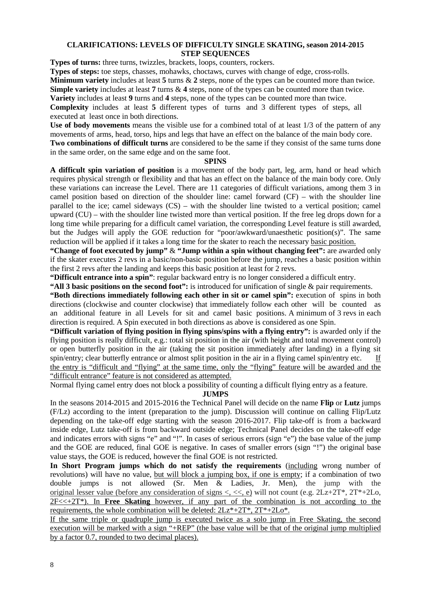# **CLARIFICATIONS: LEVELS OF DIFFICULTY SINGLE SKATING, season 2014-2015 STEP SEQUENCES**

**Types of turns:** three turns, twizzles, brackets, loops, counters, rockers.

**Types of steps:** toe steps, chasses, mohawks, choctaws, curves with change of edge, cross-rolls.

**Minimum variety** includes at least **5** turns & **2** steps, none of the types can be counted more than twice.

**Simple variety** includes at least **7** turns & **4** steps, none of the types can be counted more than twice.

**Variety** includes at least **9** turns and **4** steps, none of the types can be counted more than twice.

**Complexity** includes at least **5** different types of turns and 3 different types of steps, all executed at least once in both directions.

**Use of body movements** means the visible use for a combined total of at least 1/3 of the pattern of any movements of arms, head, torso, hips and legs that have an effect on the balance of the main body core. **Two combinations of difficult turns** are considered to be the same if they consist of the same turns done in the same order, on the same edge and on the same foot.

#### **SPINS**

**A difficult spin variation of position** is a movement of the body part, leg, arm, hand or head which requires physical strength or flexibility and that has an effect on the balance of the main body core. Only these variations can increase the Level. There are 11 categories of difficult variations, among them 3 in camel position based on direction of the shoulder line: camel forward (CF) – with the shoulder line parallel to the ice; camel sideways (CS) – with the shoulder line twisted to a vertical position; camel upward (CU) – with the shoulder line twisted more than vertical position. If the free leg drops down for a long time while preparing for a difficult camel variation, the corresponding Level feature is still awarded, but the Judges will apply the GOE reduction for "poor/awkward/unaesthetic position(s)". The same reduction will be applied if it takes a long time for the skater to reach the necessary basic position.

**"Change of foot executed by jump"** & **"Jump within a spin without changing feet":** are awarded only if the skater executes 2 revs in a basic/non-basic position before the jump, reaches a basic position within the first 2 revs after the landing and keeps this basic position at least for 2 revs.

**"Difficult entrance into a spin"**: regular backward entry is no longer considered a difficult entry.

**"All 3 basic positions on the second foot":** is introduced for unification of single & pair requirements.

**"Both directions immediately following each other in sit or camel spin":** execution of spins in both directions (clockwise and counter clockwise) that immediately follow each other will be counted as an additional feature in all Levels for sit and camel basic positions. A minimum of 3 revs in each direction is required. A Spin executed in both directions as above is considered as one Spin.

**"Difficult variation of flying position in flying spins/spins with a flying entry":** is awarded only if the flying position is really difficult, e.g.: total sit position in the air (with height and total movement control) or open butterfly position in the air (taking the sit position immediately after landing) in a flying sit spin/entry; clear butterfly entrance or almost split position in the air in a flying camel spin/entry etc. If the entry is "difficult and "flying" at the same time, only the "flying" feature will be awarded and the "difficult entrance" feature is not considered as attempted.

Normal flying camel entry does not block a possibility of counting a difficult flying entry as a feature.

# **JUMPS**

In the seasons 2014-2015 and 2015-2016 the Technical Panel will decide on the name **Flip** or **Lutz** jumps (F/Lz) according to the intent (preparation to the jump). Discussion will continue on calling Flip/Lutz depending on the take-off edge starting with the season 2016-2017. Flip take-off is from a backward inside edge, Lutz take-off is from backward outside edge; Technical Panel decides on the take-off edge and indicates errors with signs "e" and "!". In cases of serious errors (sign "e") the base value of the jump and the GOE are reduced, final GOE is negative. In cases of smaller errors (sign "!") the original base value stays, the GOE is reduced, however the final GOE is not restricted.

**In Short Program jumps which do not satisfy the requirements** (including wrong number of revolutions) will have no value, but will block a jumping box, if one is empty; if a combination of two double jumps is not allowed (Sr. Men & Ladies, Jr. Men), the jump with the original lesser value (before any consideration of signs <, <<, e) will not count (e.g. 2Lz+2T\*, 2T\*+2Lo, 2F<<+2T\*). In **Free Skating** however, if any part of the combination is not according to the requirements, the whole combination will be deleted:  $2Lz^*+2T^*$ ,  $2T^*+2Lo^*$ .

If the same triple or quadruple jump is executed twice as a solo jump in Free Skating, the second execution will be marked with a sign "+REP" (the base value will be that of the original jump multiplied by a factor 0.7, rounded to two decimal places).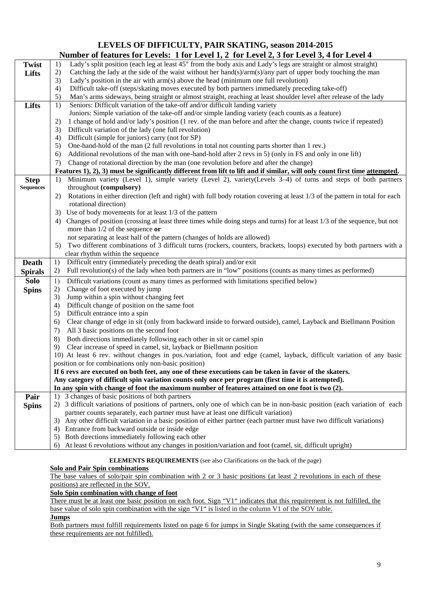# **LEVELS OF DIFFICULTY, PAIR SKATING, season 2014-2015 Number of features for Levels: 1 for Level 1, 2 for Level 2, 3 for Level 3, 4 for Level 4**

|                  | Number of reatures for Levels: 1 for Level 1, 2 for Level 2, 3 for Level 3, 4 for Level 4                                           |
|------------------|-------------------------------------------------------------------------------------------------------------------------------------|
| <b>Twist</b>     | Lady's split position (each leg at least 45° from the body axis and Lady's legs are straight or almost straight)<br>1)              |
| Lifts            | Catching the lady at the side of the waist without her hand(s)/arm(s)/any part of upper body touching the man<br>2)                 |
|                  | 3)<br>Lady's position in the air with $arm(s)$ above the head (minimum one full revolution)                                         |
|                  | 4)<br>Difficult take-off (steps/skating moves executed by both partners immediately preceding take-off)                             |
|                  | 5)<br>Man's arms sideways, being straight or almost straight, reaching at least shoulder level after release of the lady            |
| <b>Lifts</b>     | 1)<br>Seniors: Difficult variation of the take-off and/or difficult landing variety                                                 |
|                  | Juniors: Simple variation of the take-off and/or simple landing variety (each counts as a feature)                                  |
|                  | 1 change of hold and/or lady's position (1 rev. of the man before and after the change, counts twice if repeated)<br>2)             |
|                  | Difficult variation of the lady (one full revolution)                                                                               |
|                  | 3)                                                                                                                                  |
|                  | Difficult (simple for juniors) carry (not for SP)<br>4)                                                                             |
|                  | 5)<br>One-hand-hold of the man (2 full revolutions in total not counting parts shorter than 1 rev.)                                 |
|                  | Additional revolutions of the man with one-hand-hold after 2 revs in 5) (only in FS and only in one lift)<br>6)                     |
|                  | Change of rotational direction by the man (one revolution before and after the change)<br>7)                                        |
|                  | Features 1), 2), 3) must be significantly different from lift to lift and if similar, will only count first time attempted.         |
| <b>Step</b>      | Minimum variety (Level 1), simple variety (Level 2), variety (Levels 3–4) of turns and steps of both partners<br>1)                 |
| <b>Sequences</b> | throughout (compulsory)                                                                                                             |
|                  | Rotations in either direction (left and right) with full body rotation covering at least 1/3 of the pattern in total for each<br>2) |
|                  | rotational direction)                                                                                                               |
|                  | Use of body movements for at least 1/3 of the pattern<br>3)                                                                         |
|                  | Changes of position (crossing at least three times while doing steps and turns) for at least 1/3 of the sequence, but not<br>4)     |
|                  | more than $1/2$ of the sequence or                                                                                                  |
|                  | not separating at least half of the pattern (changes of holds are allowed)                                                          |
|                  | Two different combinations of 3 difficult turns (rockers, counters, brackets, loops) executed by both partners with a<br>5)         |
|                  | clear rhythm within the sequence                                                                                                    |
| <b>Death</b>     | Difficult entry (immediately preceding the death spiral) and/or exit<br>1)                                                          |
| <b>Spirals</b>   | Full revolution(s) of the lady when both partners are in "low" positions (counts as many times as performed)<br>2)                  |
| <b>Solo</b>      | Difficult variations (count as many times as performed with limitations specified below)<br>1)                                      |
|                  | Change of foot executed by jump<br>2)                                                                                               |
| <b>Spins</b>     | Jump within a spin without changing feet                                                                                            |
|                  | 3)<br>Difficult change of position on the same foot<br>4)                                                                           |
|                  | 5)<br>Difficult entrance into a spin                                                                                                |
|                  |                                                                                                                                     |
|                  | Clear change of edge in sit (only from backward inside to forward outside), camel, Layback and Biellmann Position<br>6)             |
|                  | All 3 basic positions on the second foot<br>7)                                                                                      |
|                  | Both directions immediately following each other in sit or camel spin<br>8)                                                         |
|                  | Clear increase of speed in camel, sit, layback or Biellmann position<br>9)                                                          |
|                  | 10) At least 6 rev. without changes in pos./variation, foot and edge (camel, layback, difficult variation of any basic              |
|                  | position or for combinations only non-basic position)                                                                               |
|                  | If 6 revs are executed on both feet, any one of these executions can be taken in favor of the skaters.                              |
|                  | Any category of difficult spin variation counts only once per program (first time it is attempted).                                 |
|                  | In any spin with change of foot the maximum number of features attained on one foot is two (2).                                     |
| Pair             | 1) 3 changes of basic positions of both partners                                                                                    |
| <b>Spins</b>     | 2) 3 difficult variations of positions of partners, only one of which can be in non-basic position (each variation of each          |
|                  | partner counts separately, each partner must have at least one difficult variation)                                                 |
|                  | 3) Any other difficult variation in a basic position of either partner (each partner must have two difficult variations)            |
|                  | 4) Entrance from backward outside or inside edge                                                                                    |
|                  | 5) Both directions immediately following each other                                                                                 |
|                  | 6) At least 6 revolutions without any changes in position/variation and foot (camel, sit, difficult upright)                        |

# **ELEMENTS REQUIREMENTS** (see also Clarifications on the back of the page)

## **Solo and Pair Spin combinations**

The base values of solo/pair spin combination with 2 or 3 basic positions (at least 2 revolutions in each of these positions) are reflected in the SOV.

## **Solo Spin combination with change of foot**

There must be at least one basic position on each foot. Sign "V1" indicates that this requirement is not fulfilled, the base value of solo spin combination with the sign "V1" is listed in the column V1 of the SOV table.

## **Jumps**

Both partners must fulfill requirements listed on page 6 for jumps in Single Skating (with the same consequences if these requirements are not fulfilled).